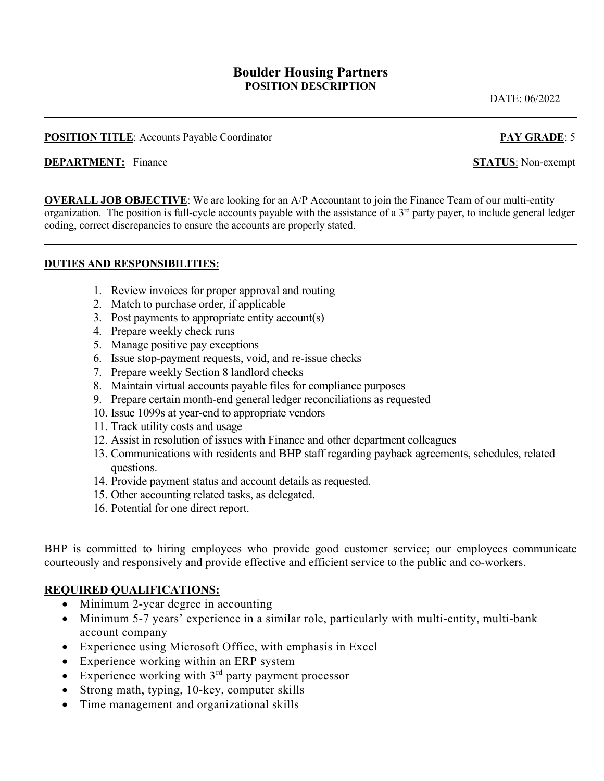### **Boulder Housing Partners POSITION DESCRIPTION**

DATE: 06/2022

#### **POSITION TITLE:** Accounts Payable Coordinator **PAY GRADE:** 5

#### **DEPARTMENT:** Finance **STATUS**: Non-exempt

**OVERALL JOB OBJECTIVE:** We are looking for an A/P Accountant to join the Finance Team of our multi-entity organization. The position is full-cycle accounts payable with the assistance of a 3<sup>rd</sup> party payer, to include general ledger coding, correct discrepancies to ensure the accounts are properly stated.

#### **DUTIES AND RESPONSIBILITIES:**

- 1. Review invoices for proper approval and routing
- 2. Match to purchase order, if applicable
- 3. Post payments to appropriate entity account(s)
- 4. Prepare weekly check runs
- 5. Manage positive pay exceptions
- 6. Issue stop-payment requests, void, and re-issue checks
- 7. Prepare weekly Section 8 landlord checks
- 8. Maintain virtual accounts payable files for compliance purposes
- 9. Prepare certain month-end general ledger reconciliations as requested
- 10. Issue 1099s at year-end to appropriate vendors
- 11. Track utility costs and usage
- 12. Assist in resolution of issues with Finance and other department colleagues
- 13. Communications with residents and BHP staff regarding payback agreements, schedules, related questions.
- 14. Provide payment status and account details as requested.
- 15. Other accounting related tasks, as delegated.
- 16. Potential for one direct report.

BHP is committed to hiring employees who provide good customer service; our employees communicate courteously and responsively and provide effective and efficient service to the public and co-workers.

#### **REQUIRED QUALIFICATIONS:**

- Minimum 2-year degree in accounting
- Minimum 5-7 years' experience in a similar role, particularly with multi-entity, multi-bank account company
- Experience using Microsoft Office, with emphasis in Excel
- Experience working within an ERP system
- Experience working with  $3<sup>rd</sup>$  party payment processor
- Strong math, typing, 10-key, computer skills
- Time management and organizational skills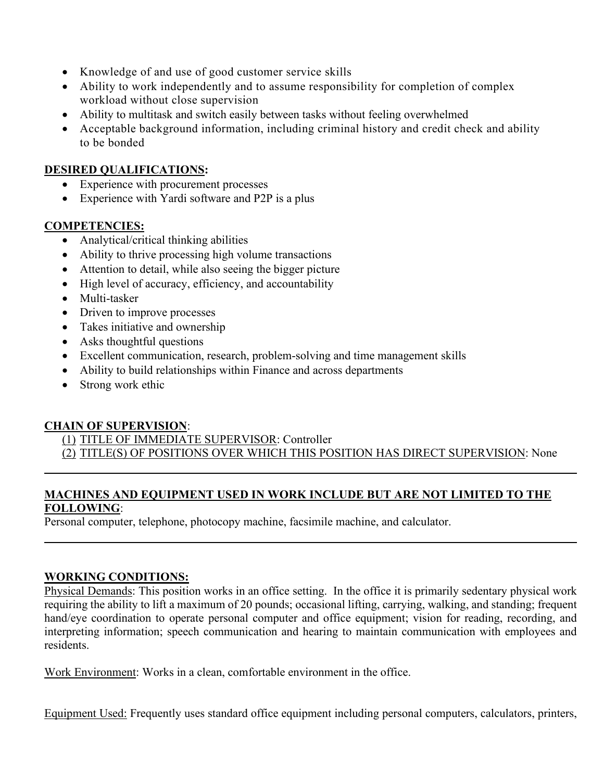- Knowledge of and use of good customer service skills
- Ability to work independently and to assume responsibility for completion of complex workload without close supervision
- Ability to multitask and switch easily between tasks without feeling overwhelmed
- Acceptable background information, including criminal history and credit check and ability to be bonded

## **DESIRED QUALIFICATIONS:**

- Experience with procurement processes
- Experience with Yardi software and P2P is a plus

## **COMPETENCIES:**

- Analytical/critical thinking abilities
- Ability to thrive processing high volume transactions
- Attention to detail, while also seeing the bigger picture
- High level of accuracy, efficiency, and accountability
- Multi-tasker
- Driven to improve processes
- Takes initiative and ownership
- Asks thoughtful questions
- Excellent communication, research, problem-solving and time management skills
- Ability to build relationships within Finance and across departments
- Strong work ethic

# **CHAIN OF SUPERVISION**:

(1) TITLE OF IMMEDIATE SUPERVISOR: Controller

(2) TITLE(S) OF POSITIONS OVER WHICH THIS POSITION HAS DIRECT SUPERVISION: None

## **MACHINES AND EQUIPMENT USED IN WORK INCLUDE BUT ARE NOT LIMITED TO THE FOLLOWING**:

Personal computer, telephone, photocopy machine, facsimile machine, and calculator.

# **WORKING CONDITIONS:**

Physical Demands: This position works in an office setting. In the office it is primarily sedentary physical work requiring the ability to lift a maximum of 20 pounds; occasional lifting, carrying, walking, and standing; frequent hand/eye coordination to operate personal computer and office equipment; vision for reading, recording, and interpreting information; speech communication and hearing to maintain communication with employees and residents.

Work Environment: Works in a clean, comfortable environment in the office.

Equipment Used: Frequently uses standard office equipment including personal computers, calculators, printers,